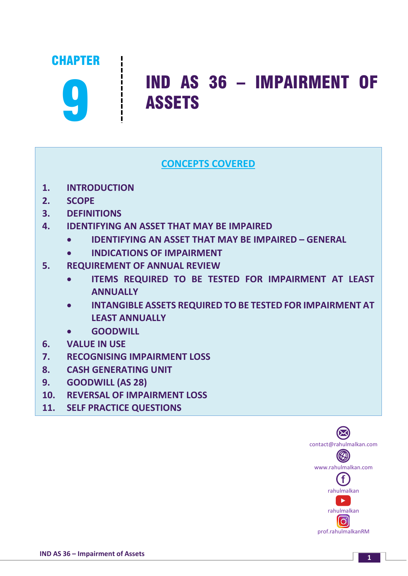

# 9 IND AS 36 – IMPAIRMENT OF ASSETS

# **CONCEPTS COVERED**

- **1. INTRODUCTION**
- **2. SCOPE**
- **3. DEFINITIONS**
- **4. IDENTIFYING AN ASSET THAT MAY BE IMPAIRED**
	- **IDENTIFYING AN ASSET THAT MAY BE IMPAIRED – GENERAL**
	- **INDICATIONS OF IMPAIRMENT**
- **5. REQUIREMENT OF ANNUAL REVIEW**
	- **ITEMS REQUIRED TO BE TESTED FOR IMPAIRMENT AT LEAST ANNUALLY**
	- **INTANGIBLE ASSETS REQUIRED TO BE TESTED FOR IMPAIRMENT AT LEAST ANNUALLY**
	- **GOODWILL**
- **6. VALUE IN USE**
- **7. RECOGNISING IMPAIRMENT LOSS**
- **8. CASH GENERATING UNIT**
- **9. GOODWILL (AS 28)**
- **10. REVERSAL OF IMPAIRMENT LOSS**
- **11. SELF PRACTICE QUESTIONS**

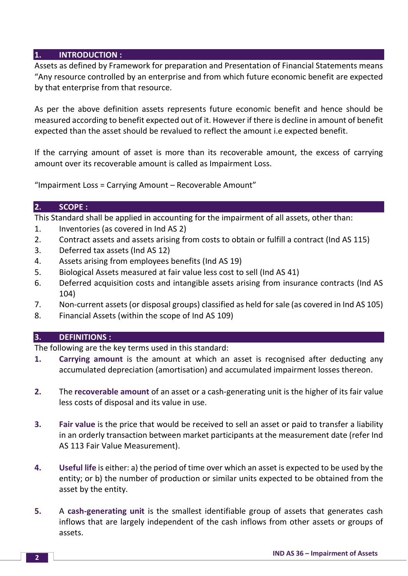#### **1. INTRODUCTION :**

Assets as defined by Framework for preparation and Presentation of Financial Statements means "Any resource controlled by an enterprise and from which future economic benefit are expected by that enterprise from that resource.

As per the above definition assets represents future economic benefit and hence should be measured according to benefit expected out of it. However if there is decline in amount of benefit expected than the asset should be revalued to reflect the amount i.e expected benefit.

If the carrying amount of asset is more than its recoverable amount, the excess of carrying amount over its recoverable amount is called as Impairment Loss.

"Impairment Loss = Carrying Amount – Recoverable Amount"

#### **2. SCOPE :**

This Standard shall be applied in accounting for the impairment of all assets, other than:

- 1. Inventories (as covered in Ind AS 2)
- 2. Contract assets and assets arising from costs to obtain or fulfill a contract (Ind AS 115)
- 3. Deferred tax assets (Ind AS 12)
- 4. Assets arising from employees benefits (Ind AS 19)
- 5. Biological Assets measured at fair value less cost to sell (Ind AS 41)
- 6. Deferred acquisition costs and intangible assets arising from insurance contracts (Ind AS 104)
- 7. Non-current assets (or disposal groups) classified as held for sale (as covered in Ind AS 105)
- 8. Financial Assets (within the scope of Ind AS 109)

#### **3. DEFINITIONS :**

The following are the key terms used in this standard:

- **1. Carrying amount** is the amount at which an asset is recognised after deducting any accumulated depreciation (amortisation) and accumulated impairment losses thereon.
- **2.** The **recoverable amount** of an asset or a cash-generating unit is the higher of its fair value less costs of disposal and its value in use.
- **3. Fair value** is the price that would be received to sell an asset or paid to transfer a liability in an orderly transaction between market participants at the measurement date (refer Ind AS 113 Fair Value Measurement).
- **4. Useful life** is either: a) the period of time over which an asset is expected to be used by the entity; or b) the number of production or similar units expected to be obtained from the asset by the entity.
- **5.** A **cash-generating unit** is the smallest identifiable group of assets that generates cash inflows that are largely independent of the cash inflows from other assets or groups of assets.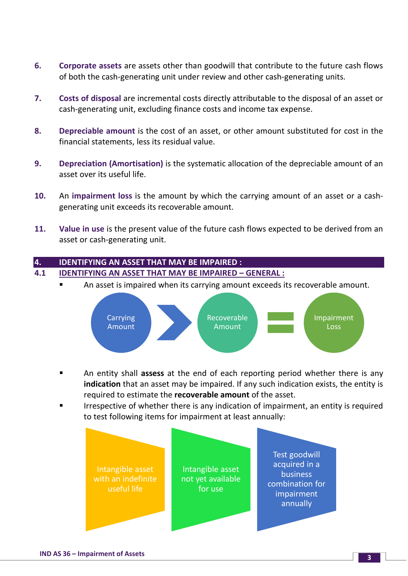- **6. Corporate assets** are assets other than goodwill that contribute to the future cash flows of both the cash-generating unit under review and other cash-generating units.
- **7. Costs of disposal** are incremental costs directly attributable to the disposal of an asset or cash-generating unit, excluding finance costs and income tax expense.
- **8. Depreciable amount** is the cost of an asset, or other amount substituted for cost in the financial statements, less its residual value.
- **9. Depreciation (Amortisation)** is the systematic allocation of the depreciable amount of an asset over its useful life.
- **10.** An **impairment loss** is the amount by which the carrying amount of an asset or a cashgenerating unit exceeds its recoverable amount.
- **11. Value in use** is the present value of the future cash flows expected to be derived from an asset or cash-generating unit.

#### **4. IDENTIFYING AN ASSET THAT MAY BE IMPAIRED : 4.1 IDENTIFYING AN ASSET THAT MAY BE IMPAIRED – GENERAL :**

An asset is impaired when its carrying amount exceeds its recoverable amount.



- An entity shall **assess** at the end of each reporting period whether there is any **indication** that an asset may be impaired. If any such indication exists, the entity is required to estimate the **recoverable amount** of the asset.
- Irrespective of whether there is any indication of impairment, an entity is required to test following items for impairment at least annually:

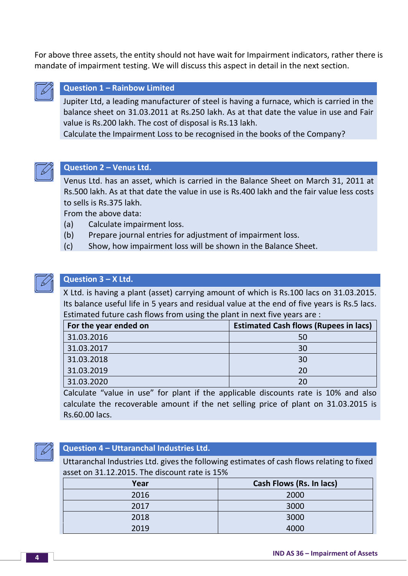For above three assets, the entity should not have wait for Impairment indicators, rather there is mandate of impairment testing. We will discuss this aspect in detail in the next section.



#### **Question 1 – Rainbow Limited**

Jupiter Ltd, a leading manufacturer of steel is having a furnace, which is carried in the balance sheet on 31.03.2011 at Rs.250 lakh. As at that date the value in use and Fair value is Rs.200 lakh. The cost of disposal is Rs.13 lakh.

Calculate the Impairment Loss to be recognised in the books of the Company?



#### **Question 2 – Venus Ltd.**

Venus Ltd. has an asset, which is carried in the Balance Sheet on March 31, 2011 at Rs.500 lakh. As at that date the value in use is Rs.400 lakh and the fair value less costs to sells is Rs.375 lakh.

From the above data:

- (a) Calculate impairment loss.
- (b) Prepare journal entries for adjustment of impairment loss.
- (c) Show, how impairment loss will be shown in the Balance Sheet.



#### **Question 3 – X Ltd.**

X Ltd. is having a plant (asset) carrying amount of which is Rs.100 lacs on 31.03.2015. Its balance useful life in 5 years and residual value at the end of five years is Rs.5 lacs. Estimated future cash flows from using the plant in next five years are :

| For the year ended on | <b>Estimated Cash flows (Rupees in lacs)</b> |
|-----------------------|----------------------------------------------|
| 31.03.2016            | 50                                           |
| 31.03.2017            | 30                                           |
| 31.03.2018            | 30                                           |
| 31.03.2019            | 20                                           |
| 31.03.2020            | 20                                           |

Calculate "value in use" for plant if the applicable discounts rate is 10% and also calculate the recoverable amount if the net selling price of plant on 31.03.2015 is Rs.60.00 lacs.



#### **Question 4 – Uttaranchal Industries Ltd.**

Uttaranchal Industries Ltd. gives the following estimates of cash flows relating to fixed asset on 31.12.2015. The discount rate is 15%

| Year | Cash Flows (Rs. In lacs) |
|------|--------------------------|
| 2016 | 2000                     |
| 2017 | 3000                     |
| 2018 | 3000                     |
| 2019 | 4000                     |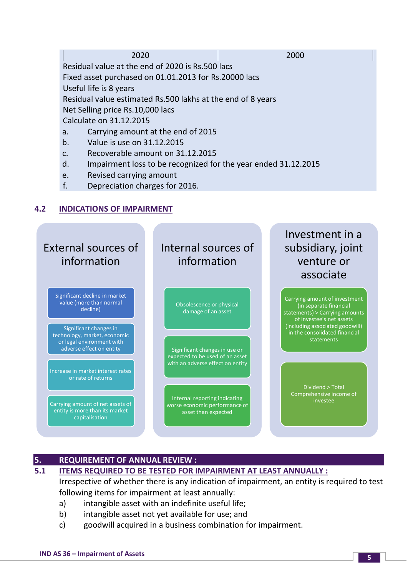|    | 2020                                                           | 2000 |
|----|----------------------------------------------------------------|------|
|    | Residual value at the end of 2020 is Rs.500 lacs               |      |
|    | Fixed asset purchased on 01.01.2013 for Rs.20000 lacs          |      |
|    | Useful life is 8 years                                         |      |
|    | Residual value estimated Rs.500 lakhs at the end of 8 years    |      |
|    | Net Selling price Rs.10,000 lacs                               |      |
|    | Calculate on 31.12.2015                                        |      |
| a. | Carrying amount at the end of 2015                             |      |
| b. | Value is use on 31.12.2015                                     |      |
| C. | Recoverable amount on 31.12.2015                               |      |
| d. | Impairment loss to be recognized for the year ended 31.12.2015 |      |

- e. Revised carrying amount
- f. Depreciation charges for 2016.

# **4.2 INDICATIONS OF IMPAIRMENT**



# **5. REQUIREMENT OF ANNUAL REVIEW :**

# **5.1 ITEMS REQUIRED TO BE TESTED FOR IMPAIRMENT AT LEAST ANNUALLY :**

Irrespective of whether there is any indication of impairment, an entity is required to test following items for impairment at least annually:

- a) intangible asset with an indefinite useful life;
- b) intangible asset not yet available for use; and
- c) goodwill acquired in a business combination for impairment.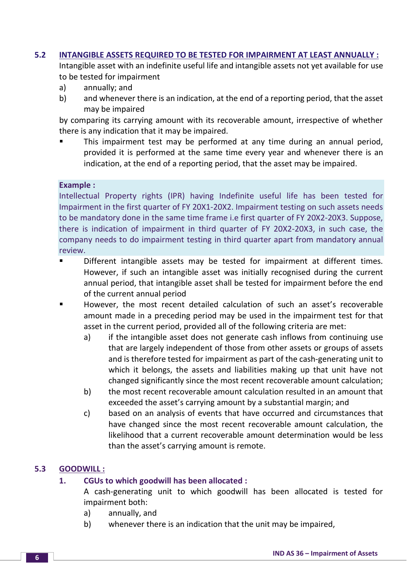#### **5.2 INTANGIBLE ASSETS REQUIRED TO BE TESTED FOR IMPAIRMENT AT LEAST ANNUALLY :**

Intangible asset with an indefinite useful life and intangible assets not yet available for use to be tested for impairment

- a) annually; and
- b) and whenever there is an indication, at the end of a reporting period, that the asset may be impaired

by comparing its carrying amount with its recoverable amount, irrespective of whether there is any indication that it may be impaired.

 This impairment test may be performed at any time during an annual period, provided it is performed at the same time every year and whenever there is an indication, at the end of a reporting period, that the asset may be impaired.

#### **Example :**

Intellectual Property rights (IPR) having Indefinite useful life has been tested for Impairment in the first quarter of FY 20X1-20X2. Impairment testing on such assets needs to be mandatory done in the same time frame i.e first quarter of FY 20X2-20X3. Suppose, there is indication of impairment in third quarter of FY 20X2-20X3, in such case, the company needs to do impairment testing in third quarter apart from mandatory annual review.

- Different intangible assets may be tested for impairment at different times. However, if such an intangible asset was initially recognised during the current annual period, that intangible asset shall be tested for impairment before the end of the current annual period
- However, the most recent detailed calculation of such an asset's recoverable amount made in a preceding period may be used in the impairment test for that asset in the current period, provided all of the following criteria are met:
	- a) if the intangible asset does not generate cash inflows from continuing use that are largely independent of those from other assets or groups of assets and is therefore tested for impairment as part of the cash-generating unit to which it belongs, the assets and liabilities making up that unit have not changed significantly since the most recent recoverable amount calculation;
	- b) the most recent recoverable amount calculation resulted in an amount that exceeded the asset's carrying amount by a substantial margin; and
	- c) based on an analysis of events that have occurred and circumstances that have changed since the most recent recoverable amount calculation, the likelihood that a current recoverable amount determination would be less than the asset's carrying amount is remote.

# **5.3 GOODWILL :**

#### **1. CGUs to which goodwill has been allocated :**

A cash-generating unit to which goodwill has been allocated is tested for impairment both:

- a) annually, and
- b) whenever there is an indication that the unit may be impaired,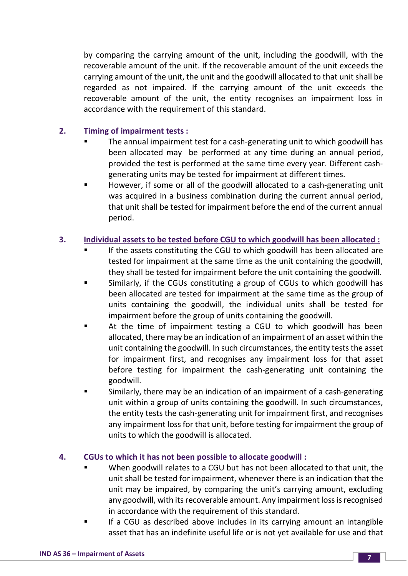by comparing the carrying amount of the unit, including the goodwill, with the recoverable amount of the unit. If the recoverable amount of the unit exceeds the carrying amount of the unit, the unit and the goodwill allocated to that unit shall be regarded as not impaired. If the carrying amount of the unit exceeds the recoverable amount of the unit, the entity recognises an impairment loss in accordance with the requirement of this standard.

# **2. Timing of impairment tests :**

- The annual impairment test for a cash-generating unit to which goodwill has been allocated may be performed at any time during an annual period, provided the test is performed at the same time every year. Different cashgenerating units may be tested for impairment at different times.
- However, if some or all of the goodwill allocated to a cash-generating unit was acquired in a business combination during the current annual period, that unit shall be tested for impairment before the end of the current annual period.

# **3. Individual assets to be tested before CGU to which goodwill has been allocated :**

- If the assets constituting the CGU to which goodwill has been allocated are tested for impairment at the same time as the unit containing the goodwill, they shall be tested for impairment before the unit containing the goodwill.
- Similarly, if the CGUs constituting a group of CGUs to which goodwill has been allocated are tested for impairment at the same time as the group of units containing the goodwill, the individual units shall be tested for impairment before the group of units containing the goodwill.
- At the time of impairment testing a CGU to which goodwill has been allocated, there may be an indication of an impairment of an asset within the unit containing the goodwill. In such circumstances, the entity tests the asset for impairment first, and recognises any impairment loss for that asset before testing for impairment the cash-generating unit containing the goodwill.
- Similarly, there may be an indication of an impairment of a cash-generating unit within a group of units containing the goodwill. In such circumstances, the entity tests the cash-generating unit for impairment first, and recognises any impairment loss for that unit, before testing for impairment the group of units to which the goodwill is allocated.

# **4. CGUs to which it has not been possible to allocate goodwill :**

- When goodwill relates to a CGU but has not been allocated to that unit, the unit shall be tested for impairment, whenever there is an indication that the unit may be impaired, by comparing the unit's carrying amount, excluding any goodwill, with its recoverable amount. Any impairment loss is recognised in accordance with the requirement of this standard.
- If a CGU as described above includes in its carrying amount an intangible asset that has an indefinite useful life or is not yet available for use and that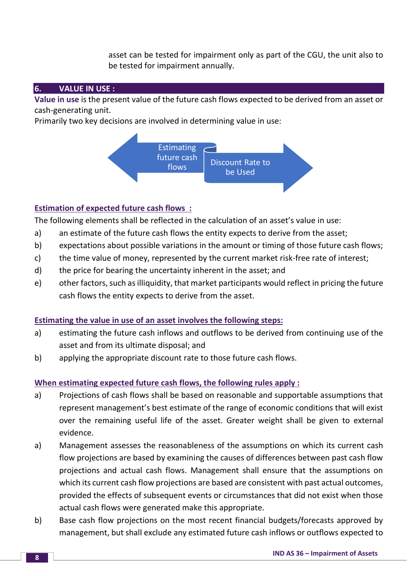asset can be tested for impairment only as part of the CGU, the unit also to be tested for impairment annually.

# **6. VALUE IN USE :**

**Value in use** is the present value of the future cash flows expected to be derived from an asset or cash-generating unit.

Primarily two key decisions are involved in determining value in use:



# **Estimation of expected future cash flows :**

The following elements shall be reflected in the calculation of an asset's value in use:

- a) an estimate of the future cash flows the entity expects to derive from the asset;
- b) expectations about possible variations in the amount or timing of those future cash flows;
- c) the time value of money, represented by the current market risk-free rate of interest;
- d) the price for bearing the uncertainty inherent in the asset; and
- e) other factors, such as illiquidity, that market participants would reflect in pricing the future cash flows the entity expects to derive from the asset.

#### **Estimating the value in use of an asset involves the following steps:**

- a) estimating the future cash inflows and outflows to be derived from continuing use of the asset and from its ultimate disposal; and
- b) applying the appropriate discount rate to those future cash flows.

#### **When estimating expected future cash flows, the following rules apply :**

- a) Projections of cash flows shall be based on reasonable and supportable assumptions that represent management's best estimate of the range of economic conditions that will exist over the remaining useful life of the asset. Greater weight shall be given to external evidence.
- a) Management assesses the reasonableness of the assumptions on which its current cash flow projections are based by examining the causes of differences between past cash flow projections and actual cash flows. Management shall ensure that the assumptions on which its current cash flow projections are based are consistent with past actual outcomes, provided the effects of subsequent events or circumstances that did not exist when those actual cash flows were generated make this appropriate.
- b) Base cash flow projections on the most recent financial budgets/forecasts approved by management, but shall exclude any estimated future cash inflows or outflows expected to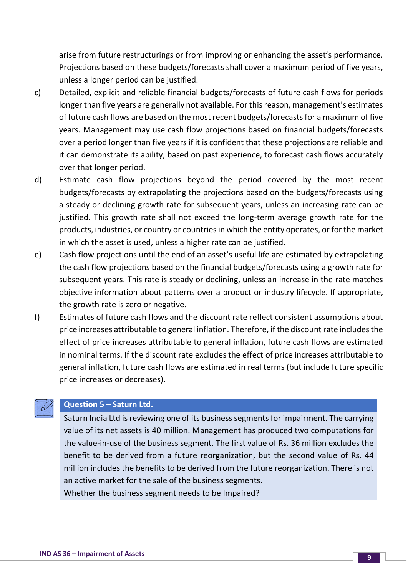arise from future restructurings or from improving or enhancing the asset's performance. Projections based on these budgets/forecasts shall cover a maximum period of five years, unless a longer period can be justified.

- c) Detailed, explicit and reliable financial budgets/forecasts of future cash flows for periods longer than five years are generally not available. For this reason, management's estimates of future cash flows are based on the most recent budgets/forecasts for a maximum of five years. Management may use cash flow projections based on financial budgets/forecasts over a period longer than five years if it is confident that these projections are reliable and it can demonstrate its ability, based on past experience, to forecast cash flows accurately over that longer period.
- d) Estimate cash flow projections beyond the period covered by the most recent budgets/forecasts by extrapolating the projections based on the budgets/forecasts using a steady or declining growth rate for subsequent years, unless an increasing rate can be justified. This growth rate shall not exceed the long-term average growth rate for the products, industries, or country or countries in which the entity operates, or for the market in which the asset is used, unless a higher rate can be justified.
- e) Cash flow projections until the end of an asset's useful life are estimated by extrapolating the cash flow projections based on the financial budgets/forecasts using a growth rate for subsequent years. This rate is steady or declining, unless an increase in the rate matches objective information about patterns over a product or industry lifecycle. If appropriate, the growth rate is zero or negative.
- f) Estimates of future cash flows and the discount rate reflect consistent assumptions about price increases attributable to general inflation. Therefore, if the discount rate includes the effect of price increases attributable to general inflation, future cash flows are estimated in nominal terms. If the discount rate excludes the effect of price increases attributable to general inflation, future cash flows are estimated in real terms (but include future specific price increases or decreases).

# **Question 5 – Saturn Ltd.**

Saturn India Ltd is reviewing one of its business segments for impairment. The carrying value of its net assets is 40 million. Management has produced two computations for the value-in-use of the business segment. The first value of Rs. 36 million excludes the benefit to be derived from a future reorganization, but the second value of Rs. 44 million includes the benefits to be derived from the future reorganization. There is not an active market for the sale of the business segments.

Whether the business segment needs to be Impaired?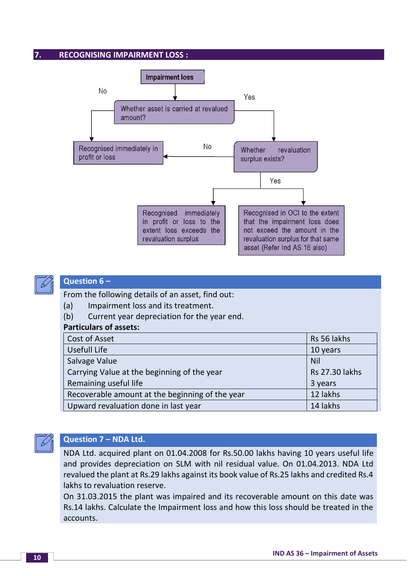#### **7. RECOGNISING IMPAIRMENT LOSS :**





### **Question 6 –**

From the following details of an asset, find out:

- (a) Impairment loss and its treatment.
- (b) Current year depreciation for the year end.

#### **Particulars of assets:**

| Cost of Asset                                   | Rs 56 lakhs           |
|-------------------------------------------------|-----------------------|
| Usefull Life                                    | 10 years              |
| Salvage Value                                   | <b>Nil</b>            |
| Carrying Value at the beginning of the year     | <b>Rs 27.30 lakhs</b> |
| Remaining useful life                           | 3 years               |
| Recoverable amount at the beginning of the year | 12 lakhs              |
| Upward revaluation done in last year            | 14 lakhs              |



# **Question 7 – NDA Ltd.**

NDA Ltd. acquired plant on 01.04.2008 for Rs.50.00 lakhs having 10 years useful life and provides depreciation on SLM with nil residual value. On 01.04.2013. NDA Ltd revalued the plant at Rs.29 lakhs against its book value of Rs.25 lakhs and credited Rs.4 lakhs to revaluation reserve.

On 31.03.2015 the plant was impaired and its recoverable amount on this date was Rs.14 lakhs. Calculate the Impairment loss and how this loss should be treated in the accounts.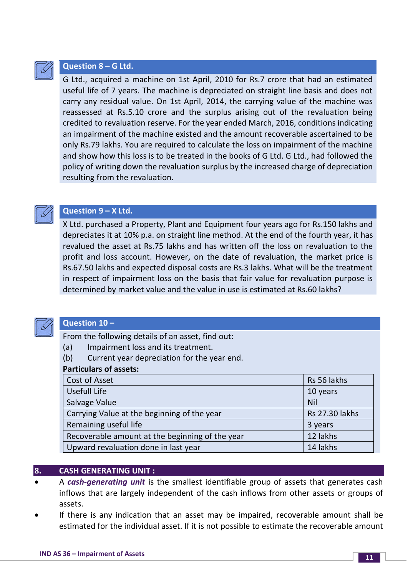

#### **Question 8 – G Ltd.**

G Ltd., acquired a machine on 1st April, 2010 for Rs.7 crore that had an estimated useful life of 7 years. The machine is depreciated on straight line basis and does not carry any residual value. On 1st April, 2014, the carrying value of the machine was reassessed at Rs.5.10 crore and the surplus arising out of the revaluation being credited to revaluation reserve. For the year ended March, 2016, conditions indicating an impairment of the machine existed and the amount recoverable ascertained to be only Rs.79 lakhs. You are required to calculate the loss on impairment of the machine and show how this loss is to be treated in the books of G Ltd. G Ltd., had followed the policy of writing down the revaluation surplus by the increased charge of depreciation resulting from the revaluation.



#### **Question 9 – X Ltd.**

X Ltd. purchased a Property, Plant and Equipment four years ago for Rs.150 lakhs and depreciates it at 10% p.a. on straight line method. At the end of the fourth year, it has revalued the asset at Rs.75 lakhs and has written off the loss on revaluation to the profit and loss account. However, on the date of revaluation, the market price is Rs.67.50 lakhs and expected disposal costs are Rs.3 lakhs. What will be the treatment in respect of impairment loss on the basis that fair value for revaluation purpose is determined by market value and the value in use is estimated at Rs.60 lakhs?



#### **Question 10 –**

From the following details of an asset, find out:

- (a) Impairment loss and its treatment.
- (b) Current year depreciation for the year end.

#### **Particulars of assets:**

| Cost of Asset                                   | Rs 56 lakhs           |
|-------------------------------------------------|-----------------------|
| Usefull Life                                    | 10 years              |
| Salvage Value                                   | <b>Nil</b>            |
| Carrying Value at the beginning of the year     | <b>Rs 27.30 lakhs</b> |
| Remaining useful life                           | 3 years               |
| Recoverable amount at the beginning of the year | 12 lakhs              |
| Upward revaluation done in last year            | 14 lakhs              |

#### **8. CASH GENERATING UNIT :**

- A *cash-generating unit* is the smallest identifiable group of assets that generates cash inflows that are largely independent of the cash inflows from other assets or groups of assets.
- If there is any indication that an asset may be impaired, recoverable amount shall be estimated for the individual asset. If it is not possible to estimate the recoverable amount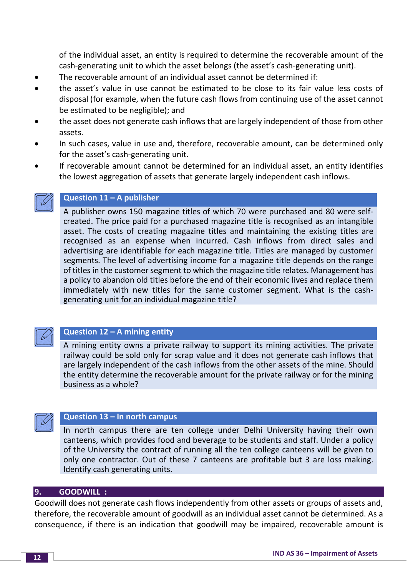of the individual asset, an entity is required to determine the recoverable amount of the cash-generating unit to which the asset belongs (the asset's cash-generating unit).

- The recoverable amount of an individual asset cannot be determined if:
- the asset's value in use cannot be estimated to be close to its fair value less costs of disposal (for example, when the future cash flows from continuing use of the asset cannot be estimated to be negligible); and
- the asset does not generate cash inflows that are largely independent of those from other assets.
- In such cases, value in use and, therefore, recoverable amount, can be determined only for the asset's cash-generating unit.
- If recoverable amount cannot be determined for an individual asset, an entity identifies the lowest aggregation of assets that generate largely independent cash inflows.



# **Question 11 – A publisher**

A publisher owns 150 magazine titles of which 70 were purchased and 80 were selfcreated. The price paid for a purchased magazine title is recognised as an intangible asset. The costs of creating magazine titles and maintaining the existing titles are recognised as an expense when incurred. Cash inflows from direct sales and advertising are identifiable for each magazine title. Titles are managed by customer segments. The level of advertising income for a magazine title depends on the range of titles in the customer segment to which the magazine title relates. Management has a policy to abandon old titles before the end of their economic lives and replace them immediately with new titles for the same customer segment. What is the cashgenerating unit for an individual magazine title?



#### **Question 12 – A mining entity**

A mining entity owns a private railway to support its mining activities. The private railway could be sold only for scrap value and it does not generate cash inflows that are largely independent of the cash inflows from the other assets of the mine. Should the entity determine the recoverable amount for the private railway or for the mining business as a whole?



#### **Question 13 – In north campus**

In north campus there are ten college under Delhi University having their own canteens, which provides food and beverage to be students and staff. Under a policy of the University the contract of running all the ten college canteens will be given to only one contractor. Out of these 7 canteens are profitable but 3 are loss making. Identify cash generating units.

#### **9. GOODWILL :**

Goodwill does not generate cash flows independently from other assets or groups of assets and, therefore, the recoverable amount of goodwill as an individual asset cannot be determined. As a consequence, if there is an indication that goodwill may be impaired, recoverable amount is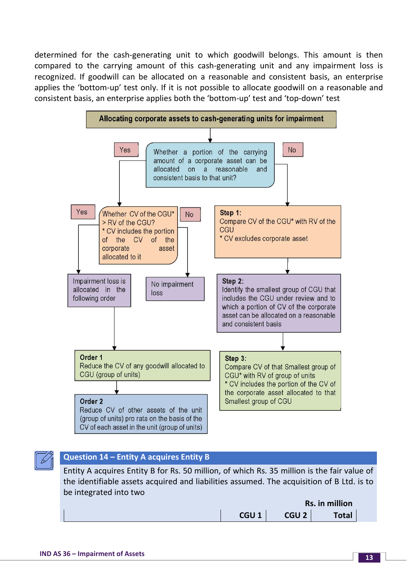determined for the cash-generating unit to which goodwill belongs. This amount is then compared to the carrying amount of this cash-generating unit and any impairment loss is recognized. If goodwill can be allocated on a reasonable and consistent basis, an enterprise applies the 'bottom-up' test only. If it is not possible to allocate goodwill on a reasonable and consistent basis, an enterprise applies both the 'bottom-up' test and 'top-down' test



# **Question 14 – Entity A acquires Entity B**

Entity A acquires Entity B for Rs. 50 million, of which Rs. 35 million is the fair value of the identifiable assets acquired and liabilities assumed. The acquisition of B Ltd. is to be integrated into two

|                  |                  | Rs. in million |  |
|------------------|------------------|----------------|--|
| CGU <sub>1</sub> | CGU <sub>2</sub> | <b>Total</b>   |  |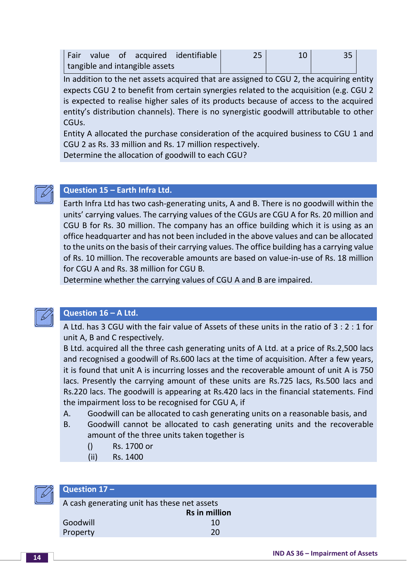|  |                                | Fair value of acquired identifiable | 25 | 35 <sub>1</sub> |  |
|--|--------------------------------|-------------------------------------|----|-----------------|--|
|  | tangible and intangible assets |                                     |    |                 |  |

In addition to the net assets acquired that are assigned to CGU 2, the acquiring entity expects CGU 2 to benefit from certain synergies related to the acquisition (e.g. CGU 2 is expected to realise higher sales of its products because of access to the acquired entity's distribution channels). There is no synergistic goodwill attributable to other CGUs.

Entity A allocated the purchase consideration of the acquired business to CGU 1 and CGU 2 as Rs. 33 million and Rs. 17 million respectively.

Determine the allocation of goodwill to each CGU?

# **Question 15 – Earth Infra Ltd.**

Earth Infra Ltd has two cash-generating units, A and B. There is no goodwill within the units' carrying values. The carrying values of the CGUs are CGU A for Rs. 20 million and CGU B for Rs. 30 million. The company has an office building which it is using as an office headquarter and has not been included in the above values and can be allocated to the units on the basis of their carrying values. The office building has a carrying value of Rs. 10 million. The recoverable amounts are based on value-in-use of Rs. 18 million for CGU A and Rs. 38 million for CGU B.

Determine whether the carrying values of CGU A and B are impaired.



# **Question 16 – A Ltd.**

A Ltd. has 3 CGU with the fair value of Assets of these units in the ratio of 3 : 2 : 1 for unit A, B and C respectively.

B Ltd. acquired all the three cash generating units of A Ltd. at a price of Rs.2,500 lacs and recognised a goodwill of Rs.600 lacs at the time of acquisition. After a few years, it is found that unit A is incurring losses and the recoverable amount of unit A is 750 lacs. Presently the carrying amount of these units are Rs.725 lacs, Rs.500 lacs and Rs.220 lacs. The goodwill is appearing at Rs.420 lacs in the financial statements. Find the impairment loss to be recognised for CGU A, if

- A. Goodwill can be allocated to cash generating units on a reasonable basis, and
- B. Goodwill cannot be allocated to cash generating units and the recoverable amount of the three units taken together is
	- () Rs. 1700 or
	- (ii) Rs. 1400



#### **Question 17 –**

A cash generating unit has these net assets **Rs in million**  Goodwill and the contract of the contract of the contract of the contract of the contract of the contract of the contract of the contract of the contract of the contract of the contract of the contract of the contract of t Property 20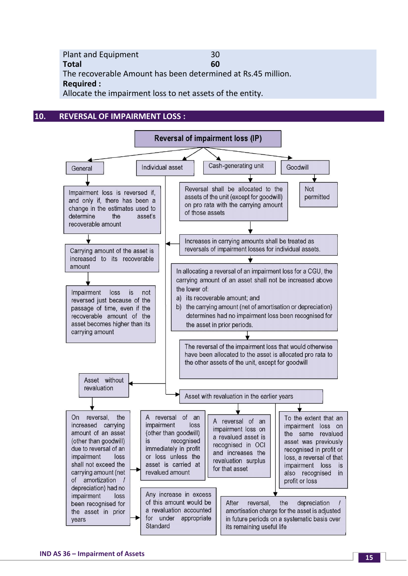Plant and Equipment 30 **Total 60** The recoverable Amount has been determined at Rs.45 million. **Required :** Allocate the impairment loss to net assets of the entity.

#### **10. REVERSAL OF IMPAIRMENT LOSS :**

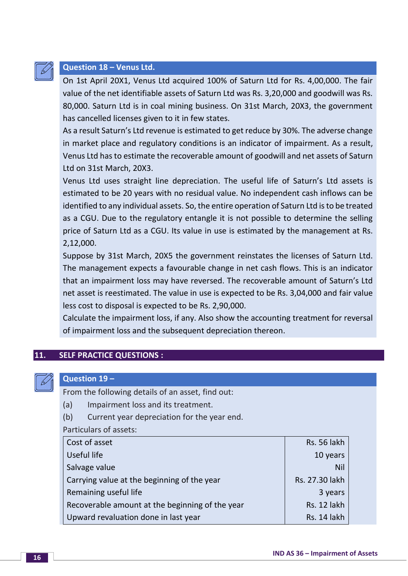

# **Question 18 – Venus Ltd.**

On 1st April 20X1, Venus Ltd acquired 100% of Saturn Ltd for Rs. 4,00,000. The fair value of the net identifiable assets of Saturn Ltd was Rs. 3,20,000 and goodwill was Rs. 80,000. Saturn Ltd is in coal mining business. On 31st March, 20X3, the government has cancelled licenses given to it in few states.

As a result Saturn's Ltd revenue is estimated to get reduce by 30%. The adverse change in market place and regulatory conditions is an indicator of impairment. As a result, Venus Ltd has to estimate the recoverable amount of goodwill and net assets of Saturn Ltd on 31st March, 20X3.

Venus Ltd uses straight line depreciation. The useful life of Saturn's Ltd assets is estimated to be 20 years with no residual value. No independent cash inflows can be identified to any individual assets. So, the entire operation of Saturn Ltd is to be treated as a CGU. Due to the regulatory entangle it is not possible to determine the selling price of Saturn Ltd as a CGU. Its value in use is estimated by the management at Rs. 2,12,000.

Suppose by 31st March, 20X5 the government reinstates the licenses of Saturn Ltd. The management expects a favourable change in net cash flows. This is an indicator that an impairment loss may have reversed. The recoverable amount of Saturn's Ltd net asset is reestimated. The value in use is expected to be Rs. 3,04,000 and fair value less cost to disposal is expected to be Rs. 2,90,000.

Calculate the impairment loss, if any. Also show the accounting treatment for reversal of impairment loss and the subsequent depreciation thereon.

#### **11. SELF PRACTICE QUESTIONS :**



### **Question 19 –**

From the following details of an asset, find out:

- (a) Impairment loss and its treatment.
- (b) Current year depreciation for the year end.

Particulars of assets:

| Cost of asset                                   | <b>Rs. 56 lakh</b> |
|-------------------------------------------------|--------------------|
| Useful life                                     | 10 years           |
| Salvage value                                   | <b>Nil</b>         |
| Carrying value at the beginning of the year     | Rs. 27.30 lakh     |
| Remaining useful life                           | 3 years            |
| Recoverable amount at the beginning of the year | Rs. 12 lakh        |
| Upward revaluation done in last year            | Rs. 14 lakh        |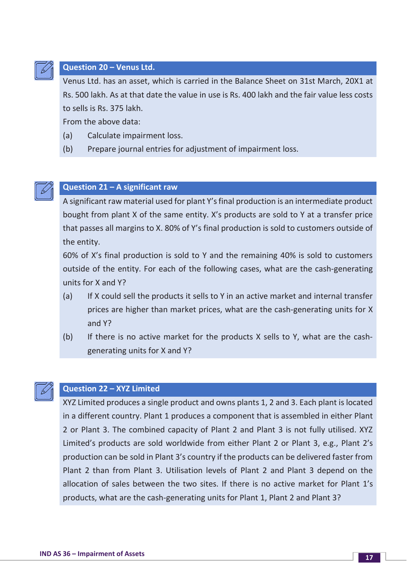

# **Question 20 – Venus Ltd.**

Venus Ltd. has an asset, which is carried in the Balance Sheet on 31st March, 20X1 at Rs. 500 lakh. As at that date the value in use is Rs. 400 lakh and the fair value less costs to sells is Rs. 375 lakh.

From the above data:

- (a) Calculate impairment loss.
- (b) Prepare journal entries for adjustment of impairment loss.



### **Question 21 – A significant raw**

A significant raw material used for plant Y's final production is an intermediate product bought from plant X of the same entity. X's products are sold to Y at a transfer price that passes all margins to X. 80% of Y's final production is sold to customers outside of the entity.

60% of X's final production is sold to Y and the remaining 40% is sold to customers outside of the entity. For each of the following cases, what are the cash-generating units for X and Y?

- (a) If X could sell the products it sells to Y in an active market and internal transfer prices are higher than market prices, what are the cash-generating units for X and Y?
- (b) If there is no active market for the products X sells to Y, what are the cashgenerating units for X and Y?



# **Question 22 – XYZ Limited**

XYZ Limited produces a single product and owns plants 1, 2 and 3. Each plant is located in a different country. Plant 1 produces a component that is assembled in either Plant 2 or Plant 3. The combined capacity of Plant 2 and Plant 3 is not fully utilised. XYZ Limited's products are sold worldwide from either Plant 2 or Plant 3, e.g., Plant 2's production can be sold in Plant 3's country if the products can be delivered faster from Plant 2 than from Plant 3. Utilisation levels of Plant 2 and Plant 3 depend on the allocation of sales between the two sites. If there is no active market for Plant 1's products, what are the cash-generating units for Plant 1, Plant 2 and Plant 3?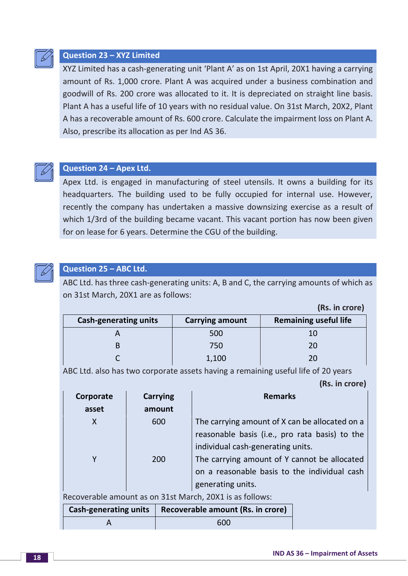

# **Question 23 – XYZ Limited**

XYZ Limited has a cash-generating unit 'Plant A' as on 1st April, 20X1 having a carrying amount of Rs. 1,000 crore. Plant A was acquired under a business combination and goodwill of Rs. 200 crore was allocated to it. It is depreciated on straight line basis. Plant A has a useful life of 10 years with no residual value. On 31st March, 20X2, Plant A has a recoverable amount of Rs. 600 crore. Calculate the impairment loss on Plant A. Also, prescribe its allocation as per Ind AS 36.



#### **Question 24 – Apex Ltd.**

Apex Ltd. is engaged in manufacturing of steel utensils. It owns a building for its headquarters. The building used to be fully occupied for internal use. However, recently the company has undertaken a massive downsizing exercise as a result of which 1/3rd of the building became vacant. This vacant portion has now been given for on lease for 6 years. Determine the CGU of the building.



#### **Question 25 – ABC Ltd.**

ABC Ltd. has three cash-generating units: A, B and C, the carrying amounts of which as on 31st March, 20X1 are as follows:

| <b>Cash-generating units</b> | <b>Carrying amount</b> | <b>Remaining useful life</b> |  |
|------------------------------|------------------------|------------------------------|--|
|                              | 500                    | 10                           |  |
|                              | 750                    | 20                           |  |
|                              | 1,100                  |                              |  |

ABC Ltd. also has two corporate assets having a remaining useful life of 20 years  **(Rs. in crore)**

| Corporate | <b>Carrying</b> | <b>Remarks</b>                                              |
|-----------|-----------------|-------------------------------------------------------------|
| asset     | amount          |                                                             |
| X         | 600             | The carrying amount of X can be allocated on a              |
|           |                 | reasonable basis (i.e., pro rata basis) to the              |
|           |                 | individual cash-generating units.                           |
|           | 200             | The carrying amount of Y cannot be allocated                |
|           |                 | on a reasonable basis to the individual cash                |
|           |                 | generating units.                                           |
|           |                 | Descuerable cuse unt se cu 04 et Meurle 00V4 is se falleure |

Recoverable amount as on 31st March, 20X1 is as follows:

| <b>Cash-generating units</b> | Recoverable amount (Rs. in crore) |
|------------------------------|-----------------------------------|
|                              | 600                               |

**(Rs. in crore)**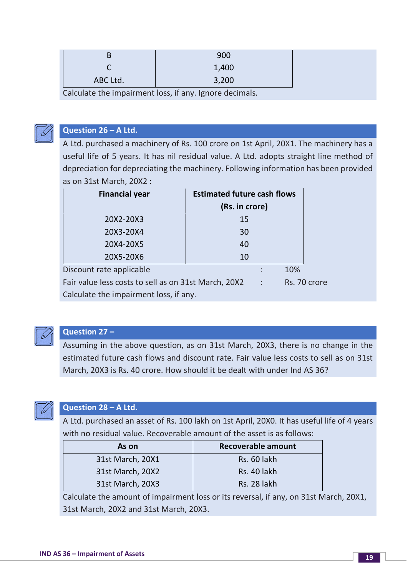|                                                         |          | 900   |
|---------------------------------------------------------|----------|-------|
|                                                         |          | 1,400 |
|                                                         | ABC Ltd. | 3,200 |
| Calculate the impairment loss, if any. Ignore decimals. |          |       |



#### **Question 26 – A Ltd.**

A Ltd. purchased a machinery of Rs. 100 crore on 1st April, 20X1. The machinery has a useful life of 5 years. It has nil residual value. A Ltd. adopts straight line method of depreciation for depreciating the machinery. Following information has been provided as on 31st March, 20X2 :

| <b>Financial year</b>                                | <b>Estimated future cash flows</b> |                      |              |  |  |
|------------------------------------------------------|------------------------------------|----------------------|--------------|--|--|
|                                                      | (Rs. in crore)                     |                      |              |  |  |
| 20X2-20X3                                            | 15                                 |                      |              |  |  |
| 20X3-20X4                                            | 30                                 |                      |              |  |  |
| 20X4-20X5                                            | 40                                 |                      |              |  |  |
| 20X5-20X6                                            | 10                                 |                      |              |  |  |
| Discount rate applicable                             |                                    |                      | 10%          |  |  |
| Fair value less costs to sell as on 31st March, 20X2 |                                    | $\ddot{\phantom{a}}$ | Rs. 70 crore |  |  |
| Calculate the impairment loss, if any.               |                                    |                      |              |  |  |



# **Question 27 –**

Assuming in the above question, as on 31st March, 20X3, there is no change in the estimated future cash flows and discount rate. Fair value less costs to sell as on 31st March, 20X3 is Rs. 40 crore. How should it be dealt with under Ind AS 36?



# **Question 28 – A Ltd.**

A Ltd. purchased an asset of Rs. 100 lakh on 1st April, 20X0. It has useful life of 4 years with no residual value. Recoverable amount of the asset is as follows:

| As on            | Recoverable amount |  |
|------------------|--------------------|--|
| 31st March, 20X1 | Rs. 60 lakh        |  |
| 31st March, 20X2 | Rs. 40 lakh        |  |
| 31st March, 20X3 | <b>Rs. 28 lakh</b> |  |

Calculate the amount of impairment loss or its reversal, if any, on 31st March, 20X1, 31st March, 20X2 and 31st March, 20X3.